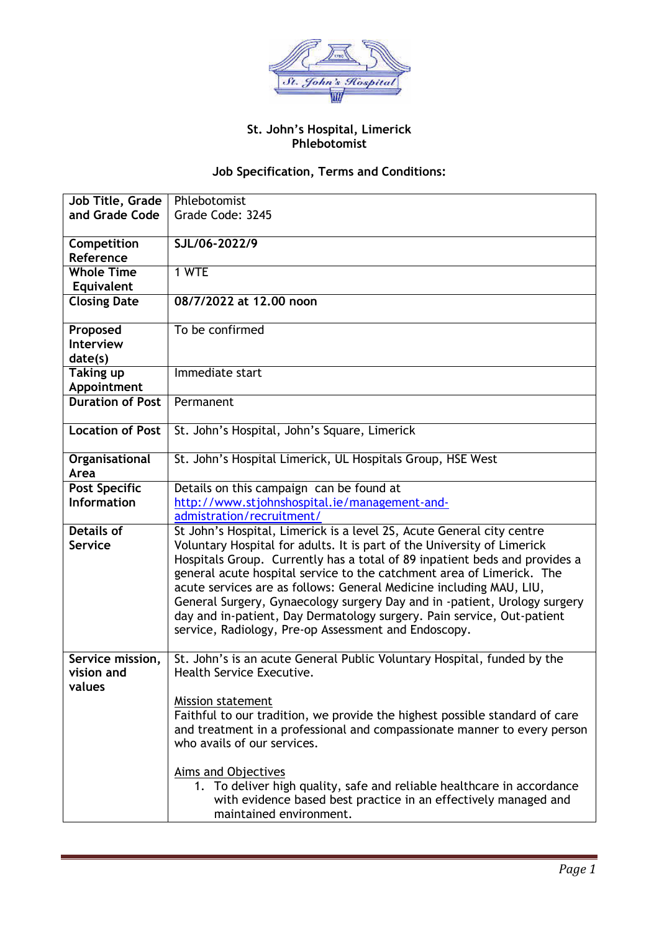

## **St. John's Hospital, Limerick Phlebotomist**

## **Job Specification, Terms and Conditions:**

| Job Title, Grade        | Phlebotomist                                                                |
|-------------------------|-----------------------------------------------------------------------------|
| and Grade Code          | Grade Code: 3245                                                            |
|                         |                                                                             |
| Competition             | SJL/06-2022/9                                                               |
| Reference               |                                                                             |
| <b>Whole Time</b>       | 1 WTE                                                                       |
| Equivalent              |                                                                             |
| <b>Closing Date</b>     | 08/7/2022 at 12.00 noon                                                     |
|                         |                                                                             |
| Proposed                | To be confirmed                                                             |
| <b>Interview</b>        |                                                                             |
| date(s)                 |                                                                             |
| <b>Taking up</b>        | Immediate start                                                             |
| Appointment             |                                                                             |
| <b>Duration of Post</b> | Permanent                                                                   |
|                         |                                                                             |
| <b>Location of Post</b> | St. John's Hospital, John's Square, Limerick                                |
|                         |                                                                             |
| Organisational          | St. John's Hospital Limerick, UL Hospitals Group, HSE West                  |
| Area                    |                                                                             |
| <b>Post Specific</b>    | Details on this campaign can be found at                                    |
| <b>Information</b>      | http://www.stjohnshospital.ie/management-and-                               |
|                         | admistration/recruitment/                                                   |
| <b>Details of</b>       | St John's Hospital, Limerick is a level 2S, Acute General city centre       |
| <b>Service</b>          | Voluntary Hospital for adults. It is part of the University of Limerick     |
|                         | Hospitals Group. Currently has a total of 89 inpatient beds and provides a  |
|                         | general acute hospital service to the catchment area of Limerick. The       |
|                         | acute services are as follows: General Medicine including MAU, LIU,         |
|                         | General Surgery, Gynaecology surgery Day and in -patient, Urology surgery   |
|                         | day and in-patient, Day Dermatology surgery. Pain service, Out-patient      |
|                         | service, Radiology, Pre-op Assessment and Endoscopy.                        |
|                         |                                                                             |
| Service mission,        | St. John's is an acute General Public Voluntary Hospital, funded by the     |
| vision and              | Health Service Executive.                                                   |
| values                  |                                                                             |
|                         | <b>Mission statement</b>                                                    |
|                         | Faithful to our tradition, we provide the highest possible standard of care |
|                         | and treatment in a professional and compassionate manner to every person    |
|                         | who avails of our services.                                                 |
|                         |                                                                             |
|                         | <b>Aims and Objectives</b>                                                  |
|                         | 1. To deliver high quality, safe and reliable healthcare in accordance      |
|                         | with evidence based best practice in an effectively managed and             |
|                         | maintained environment.                                                     |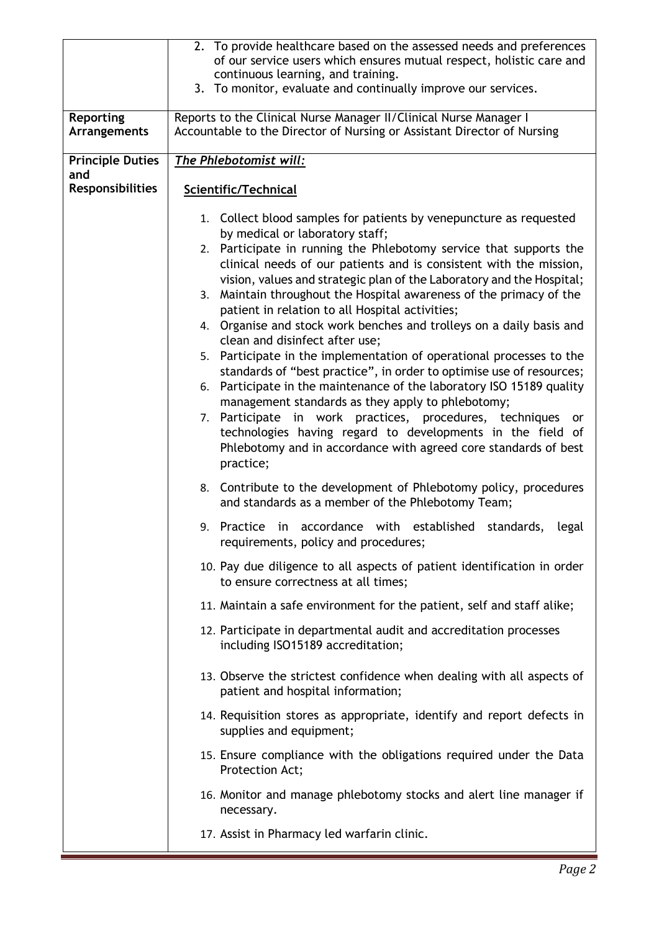|                                | 2. To provide healthcare based on the assessed needs and preferences<br>of our service users which ensures mutual respect, holistic care and<br>continuous learning, and training.<br>3. To monitor, evaluate and continually improve our services.                                                                                                                                                                                                                                                                                                                                                                                                                                                                                                                                                                                                                                                                                                                                                                                                          |
|--------------------------------|--------------------------------------------------------------------------------------------------------------------------------------------------------------------------------------------------------------------------------------------------------------------------------------------------------------------------------------------------------------------------------------------------------------------------------------------------------------------------------------------------------------------------------------------------------------------------------------------------------------------------------------------------------------------------------------------------------------------------------------------------------------------------------------------------------------------------------------------------------------------------------------------------------------------------------------------------------------------------------------------------------------------------------------------------------------|
| Reporting<br>Arrangements      | Reports to the Clinical Nurse Manager II/Clinical Nurse Manager I<br>Accountable to the Director of Nursing or Assistant Director of Nursing                                                                                                                                                                                                                                                                                                                                                                                                                                                                                                                                                                                                                                                                                                                                                                                                                                                                                                                 |
| <b>Principle Duties</b><br>and | The Phlebotomist will:                                                                                                                                                                                                                                                                                                                                                                                                                                                                                                                                                                                                                                                                                                                                                                                                                                                                                                                                                                                                                                       |
| <b>Responsibilities</b>        | Scientific/Technical                                                                                                                                                                                                                                                                                                                                                                                                                                                                                                                                                                                                                                                                                                                                                                                                                                                                                                                                                                                                                                         |
|                                | 1. Collect blood samples for patients by venepuncture as requested<br>by medical or laboratory staff;<br>2. Participate in running the Phlebotomy service that supports the<br>clinical needs of our patients and is consistent with the mission,<br>vision, values and strategic plan of the Laboratory and the Hospital;<br>3. Maintain throughout the Hospital awareness of the primacy of the<br>patient in relation to all Hospital activities;<br>4. Organise and stock work benches and trolleys on a daily basis and<br>clean and disinfect after use;<br>5. Participate in the implementation of operational processes to the<br>standards of "best practice", in order to optimise use of resources;<br>6. Participate in the maintenance of the laboratory ISO 15189 quality<br>management standards as they apply to phlebotomy;<br>7. Participate in work practices, procedures, techniques<br>or<br>technologies having regard to developments in the field of<br>Phlebotomy and in accordance with agreed core standards of best<br>practice; |
|                                | 8. Contribute to the development of Phlebotomy policy, procedures<br>and standards as a member of the Phlebotomy Team;                                                                                                                                                                                                                                                                                                                                                                                                                                                                                                                                                                                                                                                                                                                                                                                                                                                                                                                                       |
|                                | 9. Practice in accordance with established standards,<br>legal<br>requirements, policy and procedures;                                                                                                                                                                                                                                                                                                                                                                                                                                                                                                                                                                                                                                                                                                                                                                                                                                                                                                                                                       |
|                                | 10. Pay due diligence to all aspects of patient identification in order<br>to ensure correctness at all times;                                                                                                                                                                                                                                                                                                                                                                                                                                                                                                                                                                                                                                                                                                                                                                                                                                                                                                                                               |
|                                | 11. Maintain a safe environment for the patient, self and staff alike;                                                                                                                                                                                                                                                                                                                                                                                                                                                                                                                                                                                                                                                                                                                                                                                                                                                                                                                                                                                       |
|                                | 12. Participate in departmental audit and accreditation processes<br>including ISO15189 accreditation;                                                                                                                                                                                                                                                                                                                                                                                                                                                                                                                                                                                                                                                                                                                                                                                                                                                                                                                                                       |
|                                | 13. Observe the strictest confidence when dealing with all aspects of<br>patient and hospital information;                                                                                                                                                                                                                                                                                                                                                                                                                                                                                                                                                                                                                                                                                                                                                                                                                                                                                                                                                   |
|                                | 14. Requisition stores as appropriate, identify and report defects in<br>supplies and equipment;                                                                                                                                                                                                                                                                                                                                                                                                                                                                                                                                                                                                                                                                                                                                                                                                                                                                                                                                                             |
|                                | 15. Ensure compliance with the obligations required under the Data<br>Protection Act;                                                                                                                                                                                                                                                                                                                                                                                                                                                                                                                                                                                                                                                                                                                                                                                                                                                                                                                                                                        |
|                                | 16. Monitor and manage phlebotomy stocks and alert line manager if<br>necessary.                                                                                                                                                                                                                                                                                                                                                                                                                                                                                                                                                                                                                                                                                                                                                                                                                                                                                                                                                                             |
|                                | 17. Assist in Pharmacy led warfarin clinic.                                                                                                                                                                                                                                                                                                                                                                                                                                                                                                                                                                                                                                                                                                                                                                                                                                                                                                                                                                                                                  |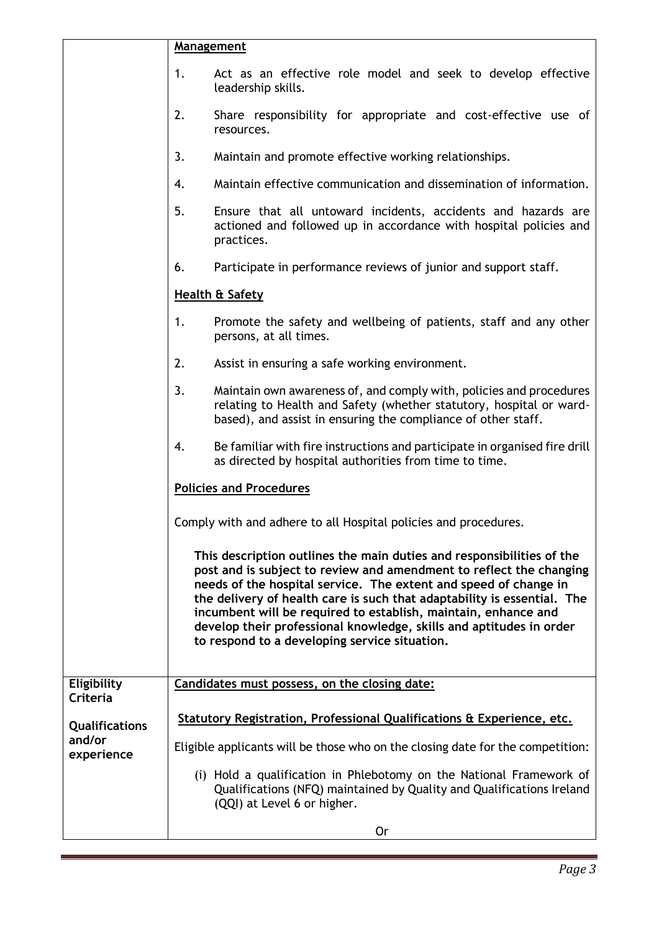|                                 | <b>Management</b>                                                                                                                                                                                                                                                                                                                                                                                                                                                                     |
|---------------------------------|---------------------------------------------------------------------------------------------------------------------------------------------------------------------------------------------------------------------------------------------------------------------------------------------------------------------------------------------------------------------------------------------------------------------------------------------------------------------------------------|
|                                 | Act as an effective role model and seek to develop effective<br>1.<br>leadership skills.                                                                                                                                                                                                                                                                                                                                                                                              |
|                                 | 2.<br>Share responsibility for appropriate and cost-effective use of<br>resources.                                                                                                                                                                                                                                                                                                                                                                                                    |
|                                 | 3.<br>Maintain and promote effective working relationships.                                                                                                                                                                                                                                                                                                                                                                                                                           |
|                                 | Maintain effective communication and dissemination of information.<br>4.                                                                                                                                                                                                                                                                                                                                                                                                              |
|                                 | 5.<br>Ensure that all untoward incidents, accidents and hazards are<br>actioned and followed up in accordance with hospital policies and<br>practices.                                                                                                                                                                                                                                                                                                                                |
|                                 | 6.<br>Participate in performance reviews of junior and support staff.                                                                                                                                                                                                                                                                                                                                                                                                                 |
|                                 | <b>Health &amp; Safety</b>                                                                                                                                                                                                                                                                                                                                                                                                                                                            |
|                                 | 1.<br>Promote the safety and wellbeing of patients, staff and any other<br>persons, at all times.                                                                                                                                                                                                                                                                                                                                                                                     |
|                                 | 2.<br>Assist in ensuring a safe working environment.                                                                                                                                                                                                                                                                                                                                                                                                                                  |
|                                 | 3.<br>Maintain own awareness of, and comply with, policies and procedures<br>relating to Health and Safety (whether statutory, hospital or ward-<br>based), and assist in ensuring the compliance of other staff.                                                                                                                                                                                                                                                                     |
|                                 | 4.<br>Be familiar with fire instructions and participate in organised fire drill<br>as directed by hospital authorities from time to time.                                                                                                                                                                                                                                                                                                                                            |
|                                 | <b>Policies and Procedures</b>                                                                                                                                                                                                                                                                                                                                                                                                                                                        |
|                                 | Comply with and adhere to all Hospital policies and procedures.                                                                                                                                                                                                                                                                                                                                                                                                                       |
|                                 | This description outlines the main duties and responsibilities of the<br>post and is subject to review and amendment to reflect the changing<br>needs of the hospital service. The extent and speed of change in<br>the delivery of health care is such that adaptability is essential. The<br>incumbent will be required to establish, maintain, enhance and<br>develop their professional knowledge, skills and aptitudes in order<br>to respond to a developing service situation. |
| Eligibility                     | Candidates must possess, on the closing date:                                                                                                                                                                                                                                                                                                                                                                                                                                         |
| Criteria                        | Statutory Registration, Professional Qualifications & Experience, etc.                                                                                                                                                                                                                                                                                                                                                                                                                |
| <b>Qualifications</b><br>and/or |                                                                                                                                                                                                                                                                                                                                                                                                                                                                                       |
| experience                      | Eligible applicants will be those who on the closing date for the competition:                                                                                                                                                                                                                                                                                                                                                                                                        |
|                                 | (i) Hold a qualification in Phlebotomy on the National Framework of<br>Qualifications (NFQ) maintained by Quality and Qualifications Ireland<br>(QQI) at Level 6 or higher.                                                                                                                                                                                                                                                                                                           |
|                                 | 0r                                                                                                                                                                                                                                                                                                                                                                                                                                                                                    |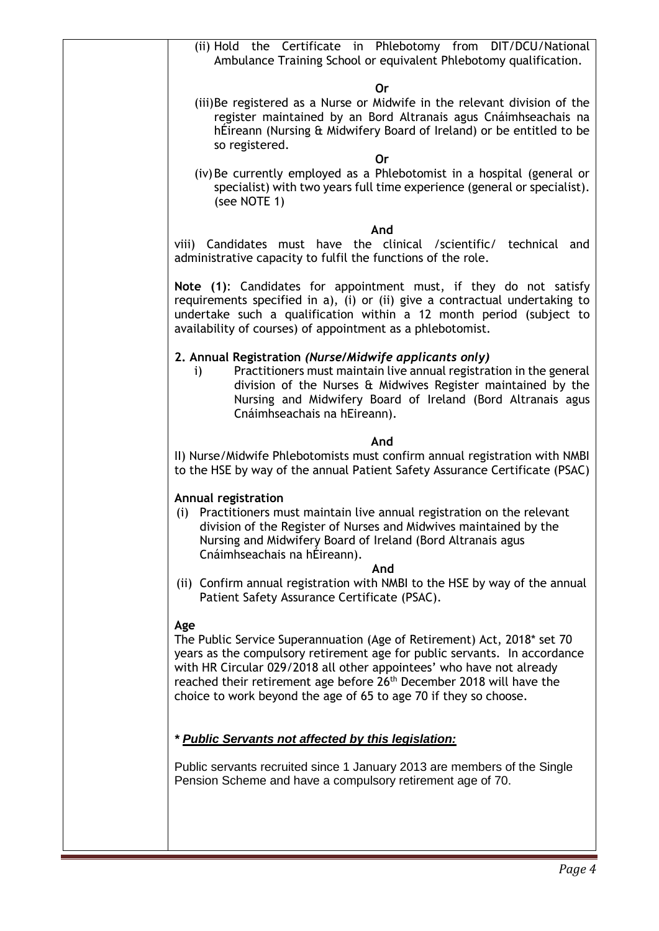| (ii) Hold the Certificate in Phlebotomy from DIT/DCU/National<br>Ambulance Training School or equivalent Phlebotomy qualification.                                                                                                                                                                                                                                                          |
|---------------------------------------------------------------------------------------------------------------------------------------------------------------------------------------------------------------------------------------------------------------------------------------------------------------------------------------------------------------------------------------------|
| 0r                                                                                                                                                                                                                                                                                                                                                                                          |
| (iii)Be registered as a Nurse or Midwife in the relevant division of the<br>register maintained by an Bord Altranais agus Cnáimhseachais na<br>hÉireann (Nursing & Midwifery Board of Ireland) or be entitled to be<br>so registered.                                                                                                                                                       |
| <b>Or</b><br>(iv) Be currently employed as a Phlebotomist in a hospital (general or<br>specialist) with two years full time experience (general or specialist).<br>(see NOTE 1)                                                                                                                                                                                                             |
| And<br>viii) Candidates must have the clinical /scientific/ technical and<br>administrative capacity to fulfil the functions of the role.                                                                                                                                                                                                                                                   |
| Note (1): Candidates for appointment must, if they do not satisfy<br>requirements specified in a), (i) or (ii) give a contractual undertaking to<br>undertake such a qualification within a 12 month period (subject to<br>availability of courses) of appointment as a phlebotomist.                                                                                                       |
| 2. Annual Registration (Nurse/Midwife applicants only)<br>Practitioners must maintain live annual registration in the general<br>i)<br>division of the Nurses & Midwives Register maintained by the<br>Nursing and Midwifery Board of Ireland (Bord Altranais agus<br>Cnáimhseachais na hEireann).                                                                                          |
| And                                                                                                                                                                                                                                                                                                                                                                                         |
| II) Nurse/Midwife Phlebotomists must confirm annual registration with NMBI<br>to the HSE by way of the annual Patient Safety Assurance Certificate (PSAC)                                                                                                                                                                                                                                   |
| Annual registration<br>Practitioners must maintain live annual registration on the relevant<br>(i)<br>division of the Register of Nurses and Midwives maintained by the<br>Nursing and Midwifery Board of Ireland (Bord Altranais agus<br>Cnáimhseachais na hÉireann).<br>And                                                                                                               |
| (ii) Confirm annual registration with NMBI to the HSE by way of the annual<br>Patient Safety Assurance Certificate (PSAC).                                                                                                                                                                                                                                                                  |
| Age<br>The Public Service Superannuation (Age of Retirement) Act, 2018* set 70<br>years as the compulsory retirement age for public servants. In accordance<br>with HR Circular 029/2018 all other appointees' who have not already<br>reached their retirement age before 26 <sup>th</sup> December 2018 will have the<br>choice to work beyond the age of 65 to age 70 if they so choose. |
| * Public Servants not affected by this legislation:                                                                                                                                                                                                                                                                                                                                         |
| Public servants recruited since 1 January 2013 are members of the Single<br>Pension Scheme and have a compulsory retirement age of 70.                                                                                                                                                                                                                                                      |
|                                                                                                                                                                                                                                                                                                                                                                                             |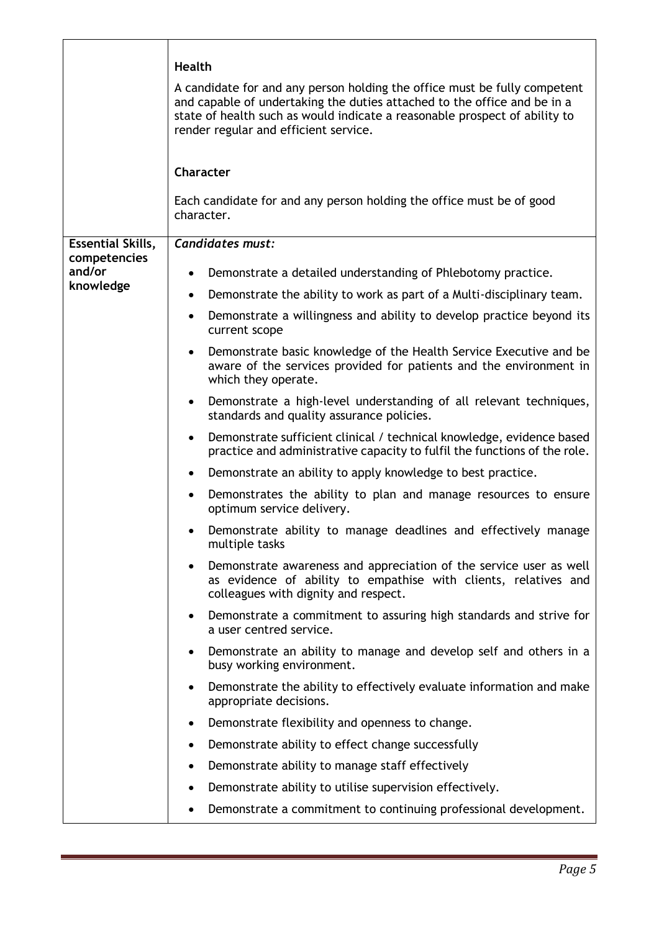|                                          | <b>Health</b><br>A candidate for and any person holding the office must be fully competent<br>and capable of undertaking the duties attached to the office and be in a<br>state of health such as would indicate a reasonable prospect of ability to<br>render regular and efficient service.<br>Character<br>Each candidate for and any person holding the office must be of good |
|------------------------------------------|------------------------------------------------------------------------------------------------------------------------------------------------------------------------------------------------------------------------------------------------------------------------------------------------------------------------------------------------------------------------------------|
|                                          | character.                                                                                                                                                                                                                                                                                                                                                                         |
| <b>Essential Skills,</b><br>competencies | Candidates must:                                                                                                                                                                                                                                                                                                                                                                   |
| and/or<br>knowledge                      | Demonstrate a detailed understanding of Phlebotomy practice.                                                                                                                                                                                                                                                                                                                       |
|                                          | Demonstrate the ability to work as part of a Multi-disciplinary team.<br>$\bullet$                                                                                                                                                                                                                                                                                                 |
|                                          | Demonstrate a willingness and ability to develop practice beyond its<br>$\bullet$<br>current scope                                                                                                                                                                                                                                                                                 |
|                                          | Demonstrate basic knowledge of the Health Service Executive and be<br>$\bullet$<br>aware of the services provided for patients and the environment in<br>which they operate.                                                                                                                                                                                                       |
|                                          | Demonstrate a high-level understanding of all relevant techniques,<br>$\bullet$<br>standards and quality assurance policies.                                                                                                                                                                                                                                                       |
|                                          | Demonstrate sufficient clinical / technical knowledge, evidence based<br>$\bullet$<br>practice and administrative capacity to fulfil the functions of the role.                                                                                                                                                                                                                    |
|                                          | Demonstrate an ability to apply knowledge to best practice.<br>$\bullet$                                                                                                                                                                                                                                                                                                           |
|                                          | Demonstrates the ability to plan and manage resources to ensure<br>$\bullet$<br>optimum service delivery.                                                                                                                                                                                                                                                                          |
|                                          | Demonstrate ability to manage deadlines and effectively manage<br>٠<br>multiple tasks                                                                                                                                                                                                                                                                                              |
|                                          | Demonstrate awareness and appreciation of the service user as well<br>٠<br>as evidence of ability to empathise with clients, relatives and<br>colleagues with dignity and respect.                                                                                                                                                                                                 |
|                                          | Demonstrate a commitment to assuring high standards and strive for<br>٠<br>a user centred service.                                                                                                                                                                                                                                                                                 |
|                                          | Demonstrate an ability to manage and develop self and others in a<br>busy working environment.                                                                                                                                                                                                                                                                                     |
|                                          | Demonstrate the ability to effectively evaluate information and make<br>appropriate decisions.                                                                                                                                                                                                                                                                                     |
|                                          | Demonstrate flexibility and openness to change.<br>٠                                                                                                                                                                                                                                                                                                                               |
|                                          | Demonstrate ability to effect change successfully<br>٠                                                                                                                                                                                                                                                                                                                             |
|                                          | Demonstrate ability to manage staff effectively<br>٠                                                                                                                                                                                                                                                                                                                               |
|                                          | Demonstrate ability to utilise supervision effectively.<br>٠                                                                                                                                                                                                                                                                                                                       |
|                                          | Demonstrate a commitment to continuing professional development.                                                                                                                                                                                                                                                                                                                   |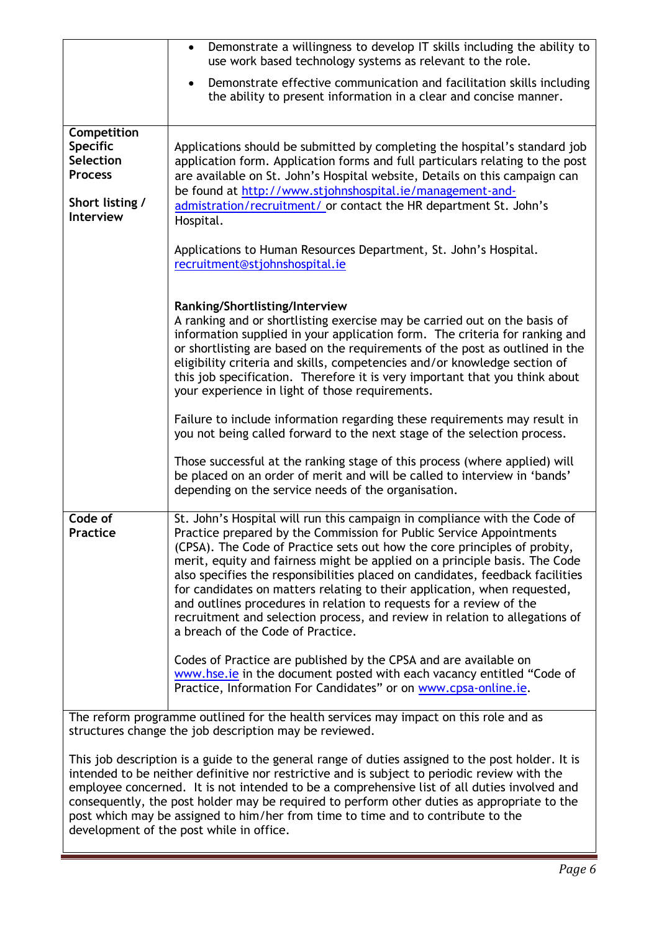|                                                                                                                                                                                                                                                                                                                                                                                                                                                                                                                                  | Demonstrate a willingness to develop IT skills including the ability to<br>$\bullet$<br>use work based technology systems as relevant to the role.                                                                                                                                                                                                                                                                                                                                                                                                                                                                                                                  |
|----------------------------------------------------------------------------------------------------------------------------------------------------------------------------------------------------------------------------------------------------------------------------------------------------------------------------------------------------------------------------------------------------------------------------------------------------------------------------------------------------------------------------------|---------------------------------------------------------------------------------------------------------------------------------------------------------------------------------------------------------------------------------------------------------------------------------------------------------------------------------------------------------------------------------------------------------------------------------------------------------------------------------------------------------------------------------------------------------------------------------------------------------------------------------------------------------------------|
|                                                                                                                                                                                                                                                                                                                                                                                                                                                                                                                                  | Demonstrate effective communication and facilitation skills including<br>the ability to present information in a clear and concise manner.                                                                                                                                                                                                                                                                                                                                                                                                                                                                                                                          |
| Competition                                                                                                                                                                                                                                                                                                                                                                                                                                                                                                                      |                                                                                                                                                                                                                                                                                                                                                                                                                                                                                                                                                                                                                                                                     |
| <b>Specific</b><br>Selection<br><b>Process</b><br>Short listing /                                                                                                                                                                                                                                                                                                                                                                                                                                                                | Applications should be submitted by completing the hospital's standard job<br>application form. Application forms and full particulars relating to the post<br>are available on St. John's Hospital website, Details on this campaign can<br>be found at http://www.stjohnshospital.ie/management-and-<br>admistration/recruitment/ or contact the HR department St. John's                                                                                                                                                                                                                                                                                         |
| <b>Interview</b>                                                                                                                                                                                                                                                                                                                                                                                                                                                                                                                 | Hospital.                                                                                                                                                                                                                                                                                                                                                                                                                                                                                                                                                                                                                                                           |
|                                                                                                                                                                                                                                                                                                                                                                                                                                                                                                                                  | Applications to Human Resources Department, St. John's Hospital.<br>recruitment@stjohnshospital.ie                                                                                                                                                                                                                                                                                                                                                                                                                                                                                                                                                                  |
|                                                                                                                                                                                                                                                                                                                                                                                                                                                                                                                                  | Ranking/Shortlisting/Interview<br>A ranking and or shortlisting exercise may be carried out on the basis of<br>information supplied in your application form. The criteria for ranking and<br>or shortlisting are based on the requirements of the post as outlined in the<br>eligibility criteria and skills, competencies and/or knowledge section of<br>this job specification. Therefore it is very important that you think about<br>your experience in light of those requirements.                                                                                                                                                                           |
|                                                                                                                                                                                                                                                                                                                                                                                                                                                                                                                                  | Failure to include information regarding these requirements may result in<br>you not being called forward to the next stage of the selection process.                                                                                                                                                                                                                                                                                                                                                                                                                                                                                                               |
|                                                                                                                                                                                                                                                                                                                                                                                                                                                                                                                                  | Those successful at the ranking stage of this process (where applied) will<br>be placed on an order of merit and will be called to interview in 'bands'<br>depending on the service needs of the organisation.                                                                                                                                                                                                                                                                                                                                                                                                                                                      |
| Code of<br><b>Practice</b>                                                                                                                                                                                                                                                                                                                                                                                                                                                                                                       | St. John's Hospital will run this campaign in compliance with the Code of<br>Practice prepared by the Commission for Public Service Appointments<br>(CPSA). The Code of Practice sets out how the core principles of probity,<br>merit, equity and fairness might be applied on a principle basis. The Code<br>also specifies the responsibilities placed on candidates, feedback facilities<br>for candidates on matters relating to their application, when requested,<br>and outlines procedures in relation to requests for a review of the<br>recruitment and selection process, and review in relation to allegations of<br>a breach of the Code of Practice. |
|                                                                                                                                                                                                                                                                                                                                                                                                                                                                                                                                  | Codes of Practice are published by the CPSA and are available on<br>www.hse.ie in the document posted with each vacancy entitled "Code of<br>Practice, Information For Candidates" or on www.cpsa-online.ie.                                                                                                                                                                                                                                                                                                                                                                                                                                                        |
| The reform programme outlined for the health services may impact on this role and as<br>structures change the job description may be reviewed.                                                                                                                                                                                                                                                                                                                                                                                   |                                                                                                                                                                                                                                                                                                                                                                                                                                                                                                                                                                                                                                                                     |
| This job description is a guide to the general range of duties assigned to the post holder. It is<br>intended to be neither definitive nor restrictive and is subject to periodic review with the<br>employee concerned. It is not intended to be a comprehensive list of all duties involved and<br>consequently, the post holder may be required to perform other duties as appropriate to the<br>post which may be assigned to him/her from time to time and to contribute to the<br>development of the post while in office. |                                                                                                                                                                                                                                                                                                                                                                                                                                                                                                                                                                                                                                                                     |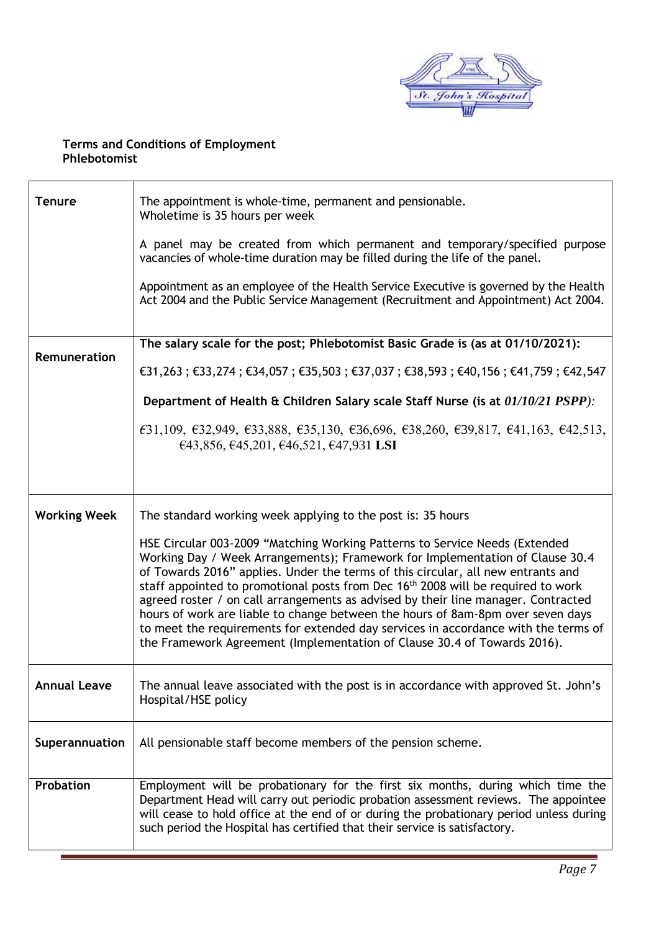

## **Terms and Conditions of Employment Phlebotomist**

| <b>Tenure</b>       | The appointment is whole-time, permanent and pensionable.<br>Wholetime is 35 hours per week                                                                                                                                                                                                                                                                                                                                                                                                                                                                                                                                                                                                |
|---------------------|--------------------------------------------------------------------------------------------------------------------------------------------------------------------------------------------------------------------------------------------------------------------------------------------------------------------------------------------------------------------------------------------------------------------------------------------------------------------------------------------------------------------------------------------------------------------------------------------------------------------------------------------------------------------------------------------|
|                     | A panel may be created from which permanent and temporary/specified purpose<br>vacancies of whole-time duration may be filled during the life of the panel.                                                                                                                                                                                                                                                                                                                                                                                                                                                                                                                                |
|                     | Appointment as an employee of the Health Service Executive is governed by the Health<br>Act 2004 and the Public Service Management (Recruitment and Appointment) Act 2004.                                                                                                                                                                                                                                                                                                                                                                                                                                                                                                                 |
|                     |                                                                                                                                                                                                                                                                                                                                                                                                                                                                                                                                                                                                                                                                                            |
| Remuneration        | The salary scale for the post; Phlebotomist Basic Grade is (as at 01/10/2021):                                                                                                                                                                                                                                                                                                                                                                                                                                                                                                                                                                                                             |
|                     | €31,263 ; €33,274 ; €34,057 ; €35,503 ; €37,037 ; €38,593 ; €40,156 ; €41,759 ; €42,547                                                                                                                                                                                                                                                                                                                                                                                                                                                                                                                                                                                                    |
|                     | Department of Health & Children Salary scale Staff Nurse (is at 01/10/21 PSPP):                                                                                                                                                                                                                                                                                                                                                                                                                                                                                                                                                                                                            |
|                     | $\epsilon$ 31,109, €32,949, €33,888, €35,130, €36,696, €38,260, €39,817, €41,163, €42,513,<br>€43,856, €45,201, €46,521, €47,931 LSI                                                                                                                                                                                                                                                                                                                                                                                                                                                                                                                                                       |
|                     |                                                                                                                                                                                                                                                                                                                                                                                                                                                                                                                                                                                                                                                                                            |
| <b>Working Week</b> | The standard working week applying to the post is: 35 hours                                                                                                                                                                                                                                                                                                                                                                                                                                                                                                                                                                                                                                |
|                     | HSE Circular 003-2009 "Matching Working Patterns to Service Needs (Extended<br>Working Day / Week Arrangements); Framework for Implementation of Clause 30.4<br>of Towards 2016" applies. Under the terms of this circular, all new entrants and<br>staff appointed to promotional posts from Dec 16 <sup>th</sup> 2008 will be required to work<br>agreed roster / on call arrangements as advised by their line manager. Contracted<br>hours of work are liable to change between the hours of 8am-8pm over seven days<br>to meet the requirements for extended day services in accordance with the terms of<br>the Framework Agreement (Implementation of Clause 30.4 of Towards 2016). |
| <b>Annual Leave</b> | The annual leave associated with the post is in accordance with approved St. John's<br>Hospital/HSE policy                                                                                                                                                                                                                                                                                                                                                                                                                                                                                                                                                                                 |
| Superannuation      | All pensionable staff become members of the pension scheme.                                                                                                                                                                                                                                                                                                                                                                                                                                                                                                                                                                                                                                |
| Probation           | Employment will be probationary for the first six months, during which time the<br>Department Head will carry out periodic probation assessment reviews. The appointee<br>will cease to hold office at the end of or during the probationary period unless during<br>such period the Hospital has certified that their service is satisfactory.                                                                                                                                                                                                                                                                                                                                            |